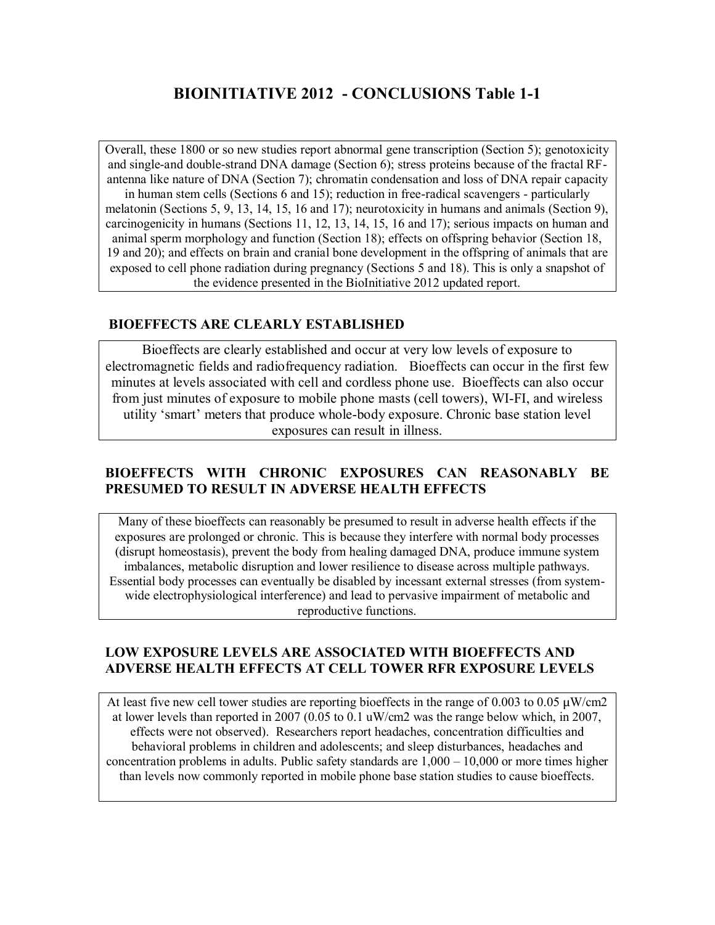# **BIOINITIATIVE 2012 - CONCLUSIONS Table 1-1**

Overall, these 1800 or so new studies report abnormal gene transcription (Section 5); genotoxicity and single-and double-strand DNA damage (Section 6); stress proteins because of the fractal RFantenna like nature of DNA (Section 7); chromatin condensation and loss of DNA repair capacity in human stem cells (Sections 6 and 15); reduction in free-radical scavengers - particularly melatonin (Sections 5, 9, 13, 14, 15, 16 and 17); neurotoxicity in humans and animals (Section 9), carcinogenicity in humans (Sections 11, 12, 13, 14, 15, 16 and 17); serious impacts on human and animal sperm morphology and function (Section 18); effects on offspring behavior (Section 18, 19 and 20); and effects on brain and cranial bone development in the offspring of animals that are exposed to cell phone radiation during pregnancy (Sections 5 and 18). This is only a snapshot of the evidence presented in the BioInitiative 2012 updated report.

#### **BIOEFFECTS ARE CLEARLY ESTABLISHED**

Bioeffects are clearly established and occur at very low levels of exposure to electromagnetic fields and radiofrequency radiation. Bioeffects can occur in the first few minutes at levels associated with cell and cordless phone use. Bioeffects can also occur from just minutes of exposure to mobile phone masts (cell towers), WI-FI, and wireless utility 'smart' meters that produce whole-body exposure. Chronic base station level exposures can result in illness.

### **BIOEFFECTS WITH CHRONIC EXPOSURES CAN REASONABLY BE PRESUMED TO RESULT IN ADVERSE HEALTH EFFECTS**

Many of these bioeffects can reasonably be presumed to result in adverse health effects if the exposures are prolonged or chronic. This is because they interfere with normal body processes (disrupt homeostasis), prevent the body from healing damaged DNA, produce immune system imbalances, metabolic disruption and lower resilience to disease across multiple pathways. Essential body processes can eventually be disabled by incessant external stresses (from systemwide electrophysiological interference) and lead to pervasive impairment of metabolic and reproductive functions.

#### **LOW EXPOSURE LEVELS ARE ASSOCIATED WITH BIOEFFECTS AND ADVERSE HEALTH EFFECTS AT CELL TOWER RFR EXPOSURE LEVELS**

At least five new cell tower studies are reporting bioeffects in the range of 0.003 to 0.05  $\mu$ W/cm2 at lower levels than reported in 2007 (0.05 to 0.1 uW/cm2 was the range below which, in 2007, effects were not observed). Researchers report headaches, concentration difficulties and behavioral problems in children and adolescents; and sleep disturbances, headaches and concentration problems in adults. Public safety standards are  $1,000 - 10,000$  or more times higher than levels now commonly reported in mobile phone base station studies to cause bioeffects.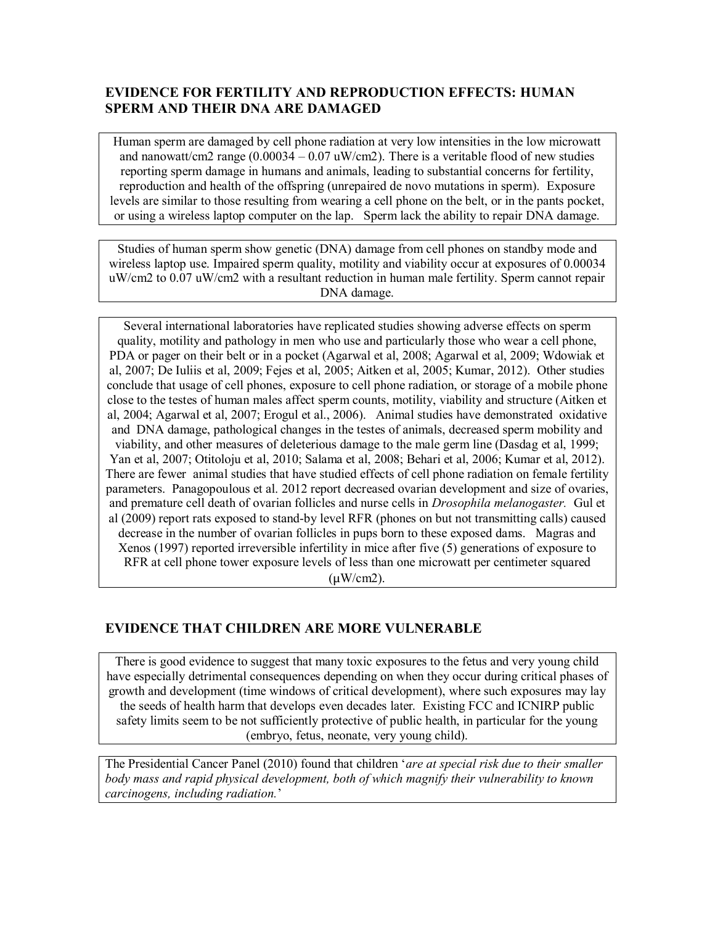#### **EVIDENCE FOR FERTILITY AND REPRODUCTION EFFECTS: HUMAN SPERM AND THEIR DNA ARE DAMAGED**

Human sperm are damaged by cell phone radiation at very low intensities in the low microwatt and nanowatt/cm2 range  $(0.00034 - 0.07 \text{ uW/cm2})$ . There is a veritable flood of new studies reporting sperm damage in humans and animals, leading to substantial concerns for fertility, reproduction and health of the offspring (unrepaired de novo mutations in sperm). Exposure levels are similar to those resulting from wearing a cell phone on the belt, or in the pants pocket, or using a wireless laptop computer on the lap. Sperm lack the ability to repair DNA damage.

Studies of human sperm show genetic (DNA) damage from cell phones on standby mode and wireless laptop use. Impaired sperm quality, motility and viability occur at exposures of 0.00034 uW/cm2 to 0.07 uW/cm2 with a resultant reduction in human male fertility. Sperm cannot repair DNA damage.

Several international laboratories have replicated studies showing adverse effects on sperm quality, motility and pathology in men who use and particularly those who wear a cell phone, PDA or pager on their belt or in a pocket (Agarwal et al, 2008; Agarwal et al, 2009; Wdowiak et al, 2007; De Iuliis et al, 2009; Fejes et al, 2005; Aitken et al, 2005; Kumar, 2012). Other studies conclude that usage of cell phones, exposure to cell phone radiation, or storage of a mobile phone close to the testes of human males affect sperm counts, motility, viability and structure (Aitken et al, 2004; Agarwal et al, 2007; Erogul et al., 2006). Animal studies have demonstrated oxidative and DNA damage, pathological changes in the testes of animals, decreased sperm mobility and viability, and other measures of deleterious damage to the male germ line (Dasdag et al, 1999; Yan et al, 2007; Otitoloju et al, 2010; Salama et al, 2008; Behari et al, 2006; Kumar et al, 2012). There are fewer animal studies that have studied effects of cell phone radiation on female fertility parameters. Panagopoulous et al. 2012 report decreased ovarian development and size of ovaries, and premature cell death of ovarian follicles and nurse cells in *Drosophila melanogaster.* Gul et al (2009) report rats exposed to stand-by level RFR (phones on but not transmitting calls) caused decrease in the number of ovarian follicles in pups born to these exposed dams. Magras and Xenos (1997) reported irreversible infertility in mice after five (5) generations of exposure to RFR at cell phone tower exposure levels of less than one microwatt per centimeter squared (μW/cm2).

### **EVIDENCE THAT CHILDREN ARE MORE VULNERABLE**

There is good evidence to suggest that many toxic exposures to the fetus and very young child have especially detrimental consequences depending on when they occur during critical phases of growth and development (time windows of critical development), where such exposures may lay the seeds of health harm that develops even decades later. Existing FCC and ICNIRP public safety limits seem to be not sufficiently protective of public health, in particular for the young (embryo, fetus, neonate, very young child).

The Presidential Cancer Panel (2010) found that children '*are at special risk due to their smaller body mass and rapid physical development, both of which magnify their vulnerability to known carcinogens, including radiation.*'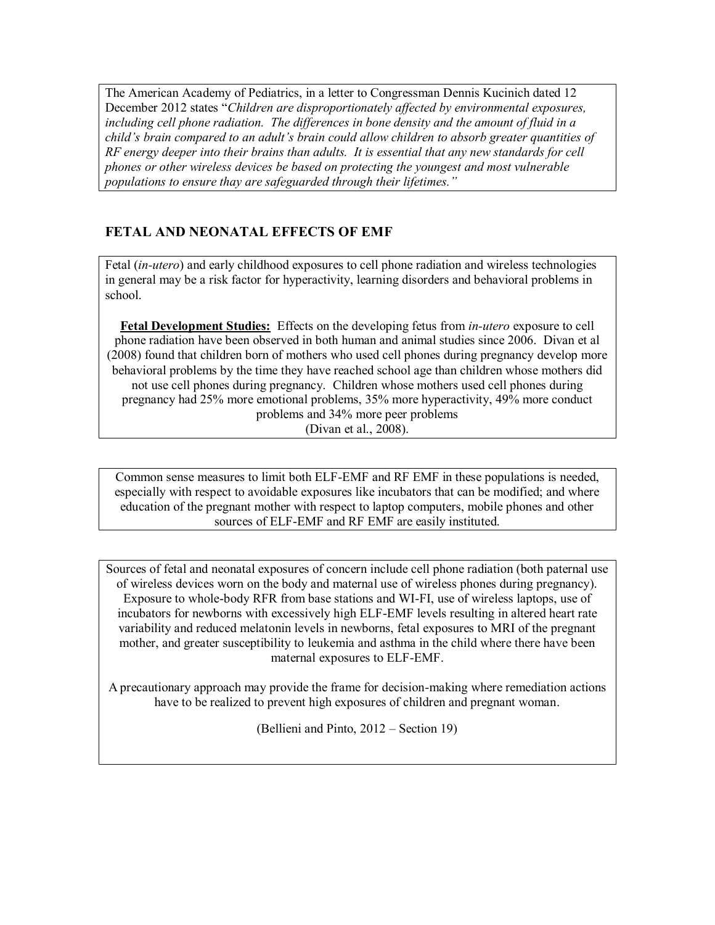The American Academy of Pediatrics, in a letter to Congressman Dennis Kucinich dated 12 December 2012 states "*Children are disproportionately affected by environmental exposures, including cell phone radiation. The differences in bone density and the amount of fluid in a child's brain compared to an adult's brain could allow children to absorb greater quantities of RF energy deeper into their brains than adults. It is essential that any new standards for cell phones or other wireless devices be based on protecting the youngest and most vulnerable populations to ensure thay are safeguarded through their lifetimes."*

# **FETAL AND NEONATAL EFFECTS OF EMF**

Fetal (*in-utero*) and early childhood exposures to cell phone radiation and wireless technologies in general may be a risk factor for hyperactivity, learning disorders and behavioral problems in school.

**Fetal Development Studies:** Effects on the developing fetus from *in-utero* exposure to cell phone radiation have been observed in both human and animal studies since 2006. Divan et al (2008) found that children born of mothers who used cell phones during pregnancy develop more behavioral problems by the time they have reached school age than children whose mothers did not use cell phones during pregnancy. Children whose mothers used cell phones during pregnancy had 25% more emotional problems, 35% more hyperactivity, 49% more conduct problems and 34% more peer problems (Divan et al., 2008).

Common sense measures to limit both ELF-EMF and RF EMF in these populations is needed, especially with respect to avoidable exposures like incubators that can be modified; and where education of the pregnant mother with respect to laptop computers, mobile phones and other

sources of ELF-EMF and RF EMF are easily instituted.

Sources of fetal and neonatal exposures of concern include cell phone radiation (both paternal use of wireless devices worn on the body and maternal use of wireless phones during pregnancy). Exposure to whole-body RFR from base stations and WI-FI, use of wireless laptops, use of incubators for newborns with excessively high ELF-EMF levels resulting in altered heart rate variability and reduced melatonin levels in newborns, fetal exposures to MRI of the pregnant mother, and greater susceptibility to leukemia and asthma in the child where there have been maternal exposures to ELF-EMF.

A precautionary approach may provide the frame for decision-making where remediation actions have to be realized to prevent high exposures of children and pregnant woman.

(Bellieni and Pinto, 2012 – Section 19)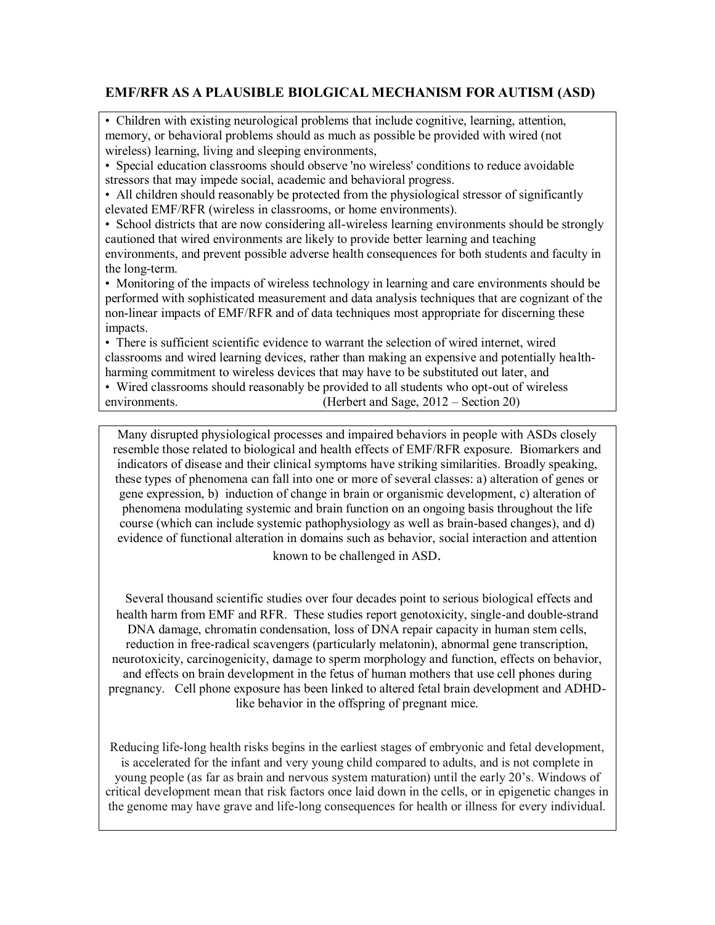# **EMF/RFR AS A PLAUSIBLE BIOLGICAL MECHANISM FOR AUTISM (ASD)**

• Children with existing neurological problems that include cognitive, learning, attention, memory, or behavioral problems should as much as possible be provided with wired (not wireless) learning, living and sleeping environments,

• Special education classrooms should observe 'no wireless' conditions to reduce avoidable stressors that may impede social, academic and behavioral progress.

• All children should reasonably be protected from the physiological stressor of significantly elevated EMF/RFR (wireless in classrooms, or home environments).

• School districts that are now considering all-wireless learning environments should be strongly cautioned that wired environments are likely to provide better learning and teaching environments, and prevent possible adverse health consequences for both students and faculty in the long-term.

• Monitoring of the impacts of wireless technology in learning and care environments should be performed with sophisticated measurement and data analysis techniques that are cognizant of the non-linear impacts of EMF/RFR and of data techniques most appropriate for discerning these impacts.

• There is sufficient scientific evidence to warrant the selection of wired internet, wired classrooms and wired learning devices, rather than making an expensive and potentially healthharming commitment to wireless devices that may have to be substituted out later, and

• Wired classrooms should reasonably be provided to all students who opt-out of wireless environments. (Herbert and Sage, 2012 – Section 20)

Many disrupted physiological processes and impaired behaviors in people with ASDs closely resemble those related to biological and health effects of EMF/RFR exposure. Biomarkers and indicators of disease and their clinical symptoms have striking similarities. Broadly speaking, these types of phenomena can fall into one or more of several classes: a) alteration of genes or gene expression, b) induction of change in brain or organismic development, c) alteration of phenomena modulating systemic and brain function on an ongoing basis throughout the life course (which can include systemic pathophysiology as well as brain-based changes), and d) evidence of functional alteration in domains such as behavior, social interaction and attention

known to be challenged in ASD.

Several thousand scientific studies over four decades point to serious biological effects and health harm from EMF and RFR. These studies report genotoxicity, single-and double-strand DNA damage, chromatin condensation, loss of DNA repair capacity in human stem cells, reduction in free-radical scavengers (particularly melatonin), abnormal gene transcription, neurotoxicity, carcinogenicity, damage to sperm morphology and function, effects on behavior, and effects on brain development in the fetus of human mothers that use cell phones during pregnancy. Cell phone exposure has been linked to altered fetal brain development and ADHDlike behavior in the offspring of pregnant mice.

Reducing life-long health risks begins in the earliest stages of embryonic and fetal development, is accelerated for the infant and very young child compared to adults, and is not complete in young people (as far as brain and nervous system maturation) until the early 20's. Windows of critical development mean that risk factors once laid down in the cells, or in epigenetic changes in the genome may have grave and life-long consequences for health or illness for every individual.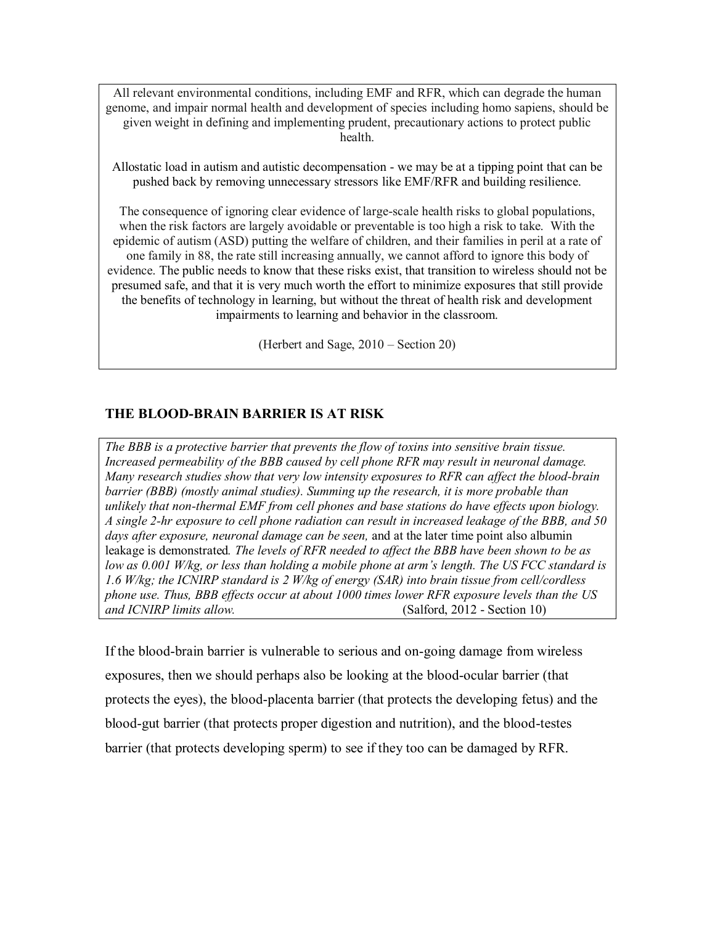All relevant environmental conditions, including EMF and RFR, which can degrade the human genome, and impair normal health and development of species including homo sapiens, should be given weight in defining and implementing prudent, precautionary actions to protect public health.

Allostatic load in autism and autistic decompensation - we may be at a tipping point that can be pushed back by removing unnecessary stressors like EMF/RFR and building resilience.

The consequence of ignoring clear evidence of large-scale health risks to global populations, when the risk factors are largely avoidable or preventable is too high a risk to take. With the epidemic of autism (ASD) putting the welfare of children, and their families in peril at a rate of one family in 88, the rate still increasing annually, we cannot afford to ignore this body of evidence. The public needs to know that these risks exist, that transition to wireless should not be presumed safe, and that it is very much worth the effort to minimize exposures that still provide the benefits of technology in learning, but without the threat of health risk and development impairments to learning and behavior in the classroom.

(Herbert and Sage, 2010 – Section 20)

#### **THE BLOOD-BRAIN BARRIER IS AT RISK**

*The BBB is a protective barrier that prevents the flow of toxins into sensitive brain tissue. Increased permeability of the BBB caused by cell phone RFR may result in neuronal damage. Many research studies show that very low intensity exposures to RFR can affect the blood-brain barrier (BBB) (mostly animal studies). Summing up the research, it is more probable than unlikely that non-thermal EMF from cell phones and base stations do have effects upon biology. A single 2-hr exposure to cell phone radiation can result in increased leakage of the BBB, and 50 days after exposure, neuronal damage can be seen,* and at the later time point also albumin leakage is demonstrated*. The levels of RFR needed to affect the BBB have been shown to be as low as 0.001 W/kg, or less than holding a mobile phone at arm's length. The US FCC standard is 1.6 W/kg; the ICNIRP standard is 2 W/kg of energy (SAR) into brain tissue from cell/cordless phone use. Thus, BBB effects occur at about 1000 times lower RFR exposure levels than the US and ICNIRP limits allow.* (Salford, 2012 - Section 10)

If the blood-brain barrier is vulnerable to serious and on-going damage from wireless exposures, then we should perhaps also be looking at the blood-ocular barrier (that protects the eyes), the blood-placenta barrier (that protects the developing fetus) and the blood-gut barrier (that protects proper digestion and nutrition), and the blood-testes barrier (that protects developing sperm) to see if they too can be damaged by RFR.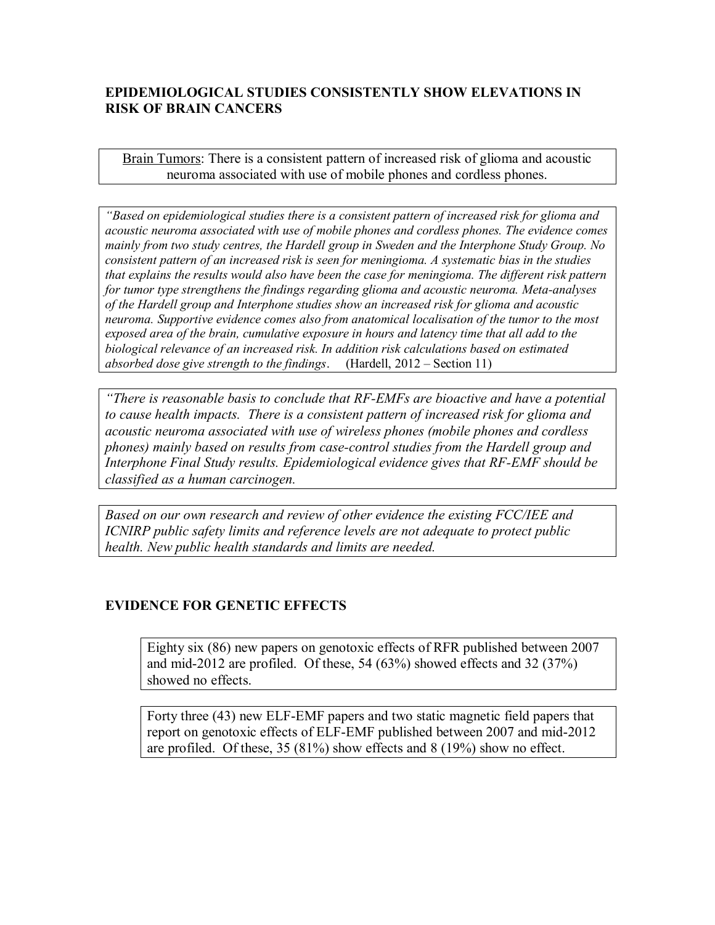### **EPIDEMIOLOGICAL STUDIES CONSISTENTLY SHOW ELEVATIONS IN RISK OF BRAIN CANCERS**

Brain Tumors: There is a consistent pattern of increased risk of glioma and acoustic neuroma associated with use of mobile phones and cordless phones.

*"Based on epidemiological studies there is a consistent pattern of increased risk for glioma and acoustic neuroma associated with use of mobile phones and cordless phones. The evidence comes mainly from two study centres, the Hardell group in Sweden and the Interphone Study Group. No consistent pattern of an increased risk is seen for meningioma. A systematic bias in the studies that explains the results would also have been the case for meningioma. The different risk pattern for tumor type strengthens the findings regarding glioma and acoustic neuroma. Meta-analyses of the Hardell group and Interphone studies show an increased risk for glioma and acoustic neuroma. Supportive evidence comes also from anatomical localisation of the tumor to the most exposed area of the brain, cumulative exposure in hours and latency time that all add to the biological relevance of an increased risk. In addition risk calculations based on estimated absorbed dose give strength to the findings*. (Hardell, 2012 – Section 11)

*"There is reasonable basis to conclude that RF-EMFs are bioactive and have a potential to cause health impacts. There is a consistent pattern of increased risk for glioma and acoustic neuroma associated with use of wireless phones (mobile phones and cordless phones) mainly based on results from case-control studies from the Hardell group and Interphone Final Study results. Epidemiological evidence gives that RF-EMF should be classified as a human carcinogen.*

*Based on our own research and review of other evidence the existing FCC/IEE and ICNIRP public safety limits and reference levels are not adequate to protect public health. New public health standards and limits are needed.*

### **EVIDENCE FOR GENETIC EFFECTS**

Eighty six (86) new papers on genotoxic effects of RFR published between 2007 and mid-2012 are profiled. Of these, 54 (63%) showed effects and 32 (37%) showed no effects.

Forty three (43) new ELF-EMF papers and two static magnetic field papers that report on genotoxic effects of ELF-EMF published between 2007 and mid-2012 are profiled. Of these, 35 (81%) show effects and 8 (19%) show no effect.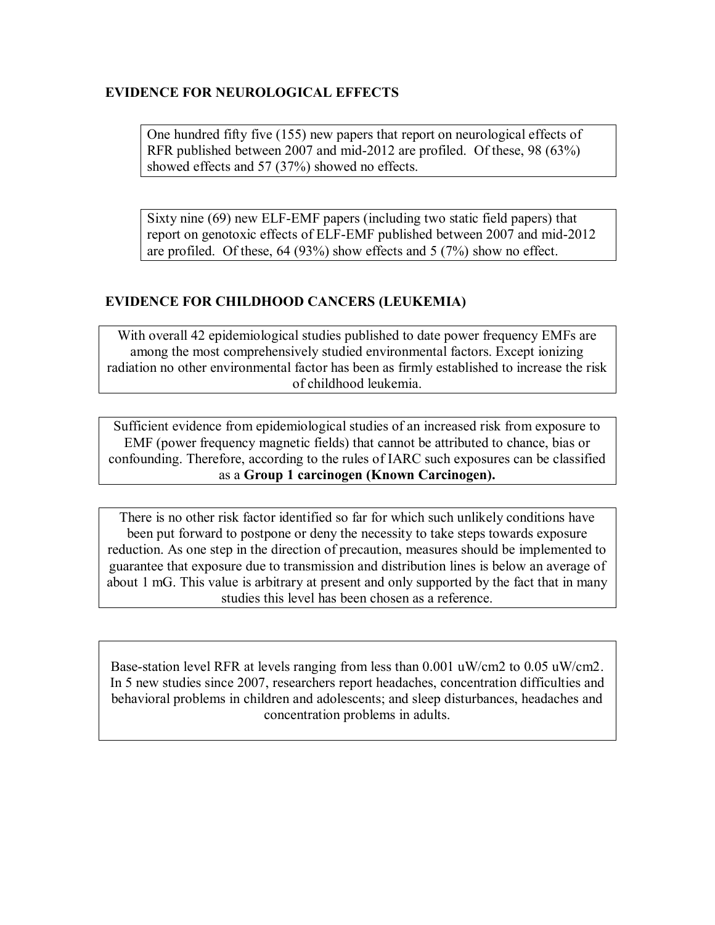### **EVIDENCE FOR NEUROLOGICAL EFFECTS**

One hundred fifty five (155) new papers that report on neurological effects of RFR published between 2007 and mid-2012 are profiled. Of these, 98 (63%) showed effects and 57 (37%) showed no effects.

Sixty nine (69) new ELF-EMF papers (including two static field papers) that report on genotoxic effects of ELF-EMF published between 2007 and mid-2012 are profiled. Of these, 64 (93%) show effects and 5 (7%) show no effect.

# **EVIDENCE FOR CHILDHOOD CANCERS (LEUKEMIA)**

With overall 42 epidemiological studies published to date power frequency EMFs are among the most comprehensively studied environmental factors. Except ionizing radiation no other environmental factor has been as firmly established to increase the risk of childhood leukemia.

Sufficient evidence from epidemiological studies of an increased risk from exposure to EMF (power frequency magnetic fields) that cannot be attributed to chance, bias or confounding. Therefore, according to the rules of IARC such exposures can be classified as a **Group 1 carcinogen (Known Carcinogen).**

There is no other risk factor identified so far for which such unlikely conditions have been put forward to postpone or deny the necessity to take steps towards exposure reduction. As one step in the direction of precaution, measures should be implemented to guarantee that exposure due to transmission and distribution lines is below an average of about 1 mG. This value is arbitrary at present and only supported by the fact that in many studies this level has been chosen as a reference.

Base-station level RFR at levels ranging from less than 0.001 uW/cm2 to 0.05 uW/cm2. In 5 new studies since 2007, researchers report headaches, concentration difficulties and behavioral problems in children and adolescents; and sleep disturbances, headaches and concentration problems in adults.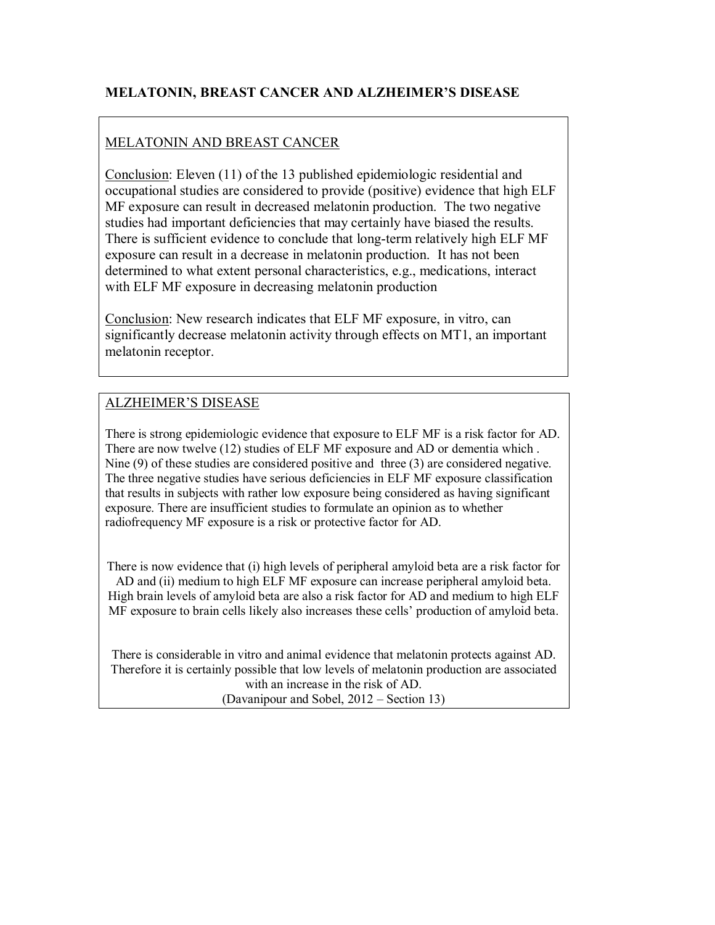# **MELATONIN, BREAST CANCER AND ALZHEIMER'S DISEASE**

# MELATONIN AND BREAST CANCER

Conclusion: Eleven (11) of the 13 published epidemiologic residential and occupational studies are considered to provide (positive) evidence that high ELF MF exposure can result in decreased melatonin production. The two negative studies had important deficiencies that may certainly have biased the results. There is sufficient evidence to conclude that long-term relatively high ELF MF exposure can result in a decrease in melatonin production. It has not been determined to what extent personal characteristics, e.g., medications, interact with ELF MF exposure in decreasing melatonin production

Conclusion: New research indicates that ELF MF exposure, in vitro, can significantly decrease melatonin activity through effects on MT1, an important melatonin receptor.

# ALZHEIMER'S DISEASE

There is strong epidemiologic evidence that exposure to ELF MF is a risk factor for AD. There are now twelve (12) studies of ELF MF exposure and AD or dementia which . Nine (9) of these studies are considered positive and three (3) are considered negative. The three negative studies have serious deficiencies in ELF MF exposure classification that results in subjects with rather low exposure being considered as having significant exposure. There are insufficient studies to formulate an opinion as to whether radiofrequency MF exposure is a risk or protective factor for AD.

There is now evidence that (i) high levels of peripheral amyloid beta are a risk factor for AD and (ii) medium to high ELF MF exposure can increase peripheral amyloid beta. High brain levels of amyloid beta are also a risk factor for AD and medium to high ELF MF exposure to brain cells likely also increases these cells' production of amyloid beta.

There is considerable in vitro and animal evidence that melatonin protects against AD. Therefore it is certainly possible that low levels of melatonin production are associated with an increase in the risk of AD. (Davanipour and Sobel, 2012 – Section 13)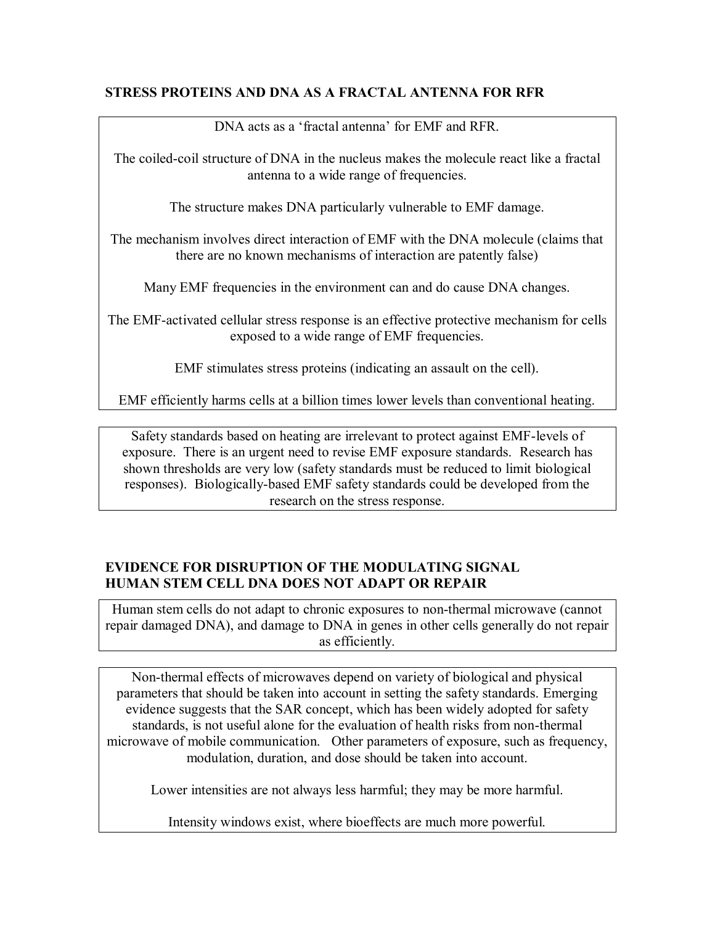### **STRESS PROTEINS AND DNA AS A FRACTAL ANTENNA FOR RFR**

DNA acts as a 'fractal antenna' for EMF and RFR.

The coiled-coil structure of DNA in the nucleus makes the molecule react like a fractal antenna to a wide range of frequencies.

The structure makes DNA particularly vulnerable to EMF damage.

The mechanism involves direct interaction of EMF with the DNA molecule (claims that there are no known mechanisms of interaction are patently false)

Many EMF frequencies in the environment can and do cause DNA changes.

The EMF-activated cellular stress response is an effective protective mechanism for cells exposed to a wide range of EMF frequencies.

EMF stimulates stress proteins (indicating an assault on the cell).

EMF efficiently harms cells at a billion times lower levels than conventional heating.

Safety standards based on heating are irrelevant to protect against EMF-levels of exposure. There is an urgent need to revise EMF exposure standards. Research has shown thresholds are very low (safety standards must be reduced to limit biological responses). Biologically-based EMF safety standards could be developed from the research on the stress response.

# **EVIDENCE FOR DISRUPTION OF THE MODULATING SIGNAL HUMAN STEM CELL DNA DOES NOT ADAPT OR REPAIR**

Human stem cells do not adapt to chronic exposures to non-thermal microwave (cannot repair damaged DNA), and damage to DNA in genes in other cells generally do not repair as efficiently.

Non-thermal effects of microwaves depend on variety of biological and physical parameters that should be taken into account in setting the safety standards. Emerging evidence suggests that the SAR concept, which has been widely adopted for safety standards, is not useful alone for the evaluation of health risks from non-thermal microwave of mobile communication. Other parameters of exposure, such as frequency, modulation, duration, and dose should be taken into account.

Lower intensities are not always less harmful; they may be more harmful.

Intensity windows exist, where bioeffects are much more powerful.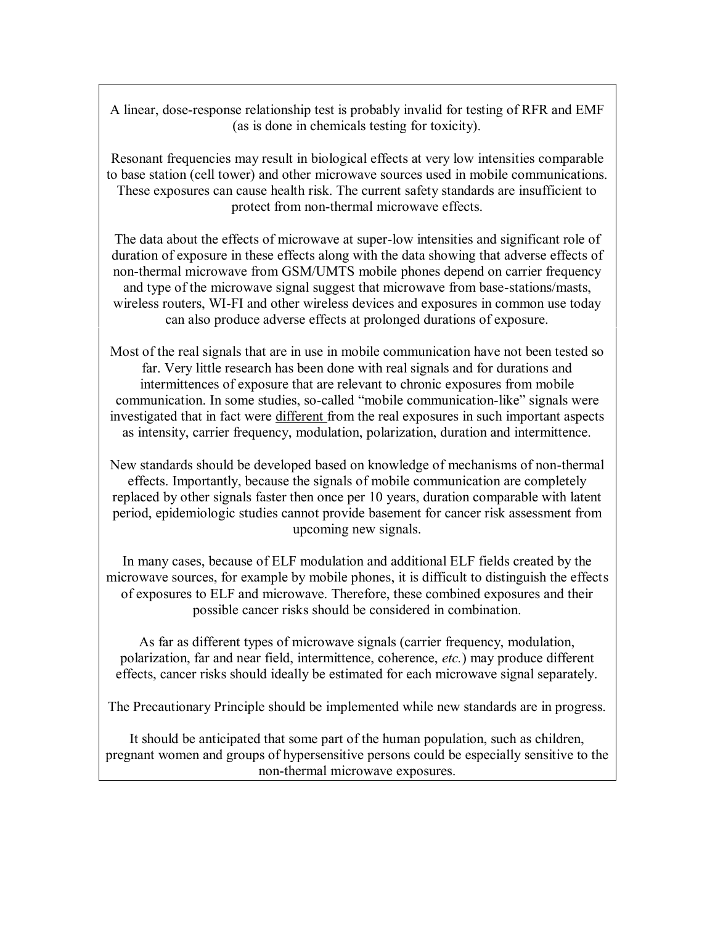A linear, dose-response relationship test is probably invalid for testing of RFR and EMF (as is done in chemicals testing for toxicity).

Resonant frequencies may result in biological effects at very low intensities comparable to base station (cell tower) and other microwave sources used in mobile communications. These exposures can cause health risk. The current safety standards are insufficient to protect from non-thermal microwave effects.

The data about the effects of microwave at super-low intensities and significant role of duration of exposure in these effects along with the data showing that adverse effects of non-thermal microwave from GSM/UMTS mobile phones depend on carrier frequency and type of the microwave signal suggest that microwave from base-stations/masts, wireless routers, WI-FI and other wireless devices and exposures in common use today can also produce adverse effects at prolonged durations of exposure.

Most of the real signals that are in use in mobile communication have not been tested so far. Very little research has been done with real signals and for durations and intermittences of exposure that are relevant to chronic exposures from mobile communication. In some studies, so-called "mobile communication-like" signals were investigated that in fact were different from the real exposures in such important aspects as intensity, carrier frequency, modulation, polarization, duration and intermittence.

New standards should be developed based on knowledge of mechanisms of non-thermal effects. Importantly, because the signals of mobile communication are completely replaced by other signals faster then once per 10 years, duration comparable with latent period, epidemiologic studies cannot provide basement for cancer risk assessment from upcoming new signals.

In many cases, because of ELF modulation and additional ELF fields created by the microwave sources, for example by mobile phones, it is difficult to distinguish the effects of exposures to ELF and microwave. Therefore, these combined exposures and their possible cancer risks should be considered in combination.

As far as different types of microwave signals (carrier frequency, modulation, polarization, far and near field, intermittence, coherence, *etc.*) may produce different effects, cancer risks should ideally be estimated for each microwave signal separately.

The Precautionary Principle should be implemented while new standards are in progress.

It should be anticipated that some part of the human population, such as children, pregnant women and groups of hypersensitive persons could be especially sensitive to the non-thermal microwave exposures.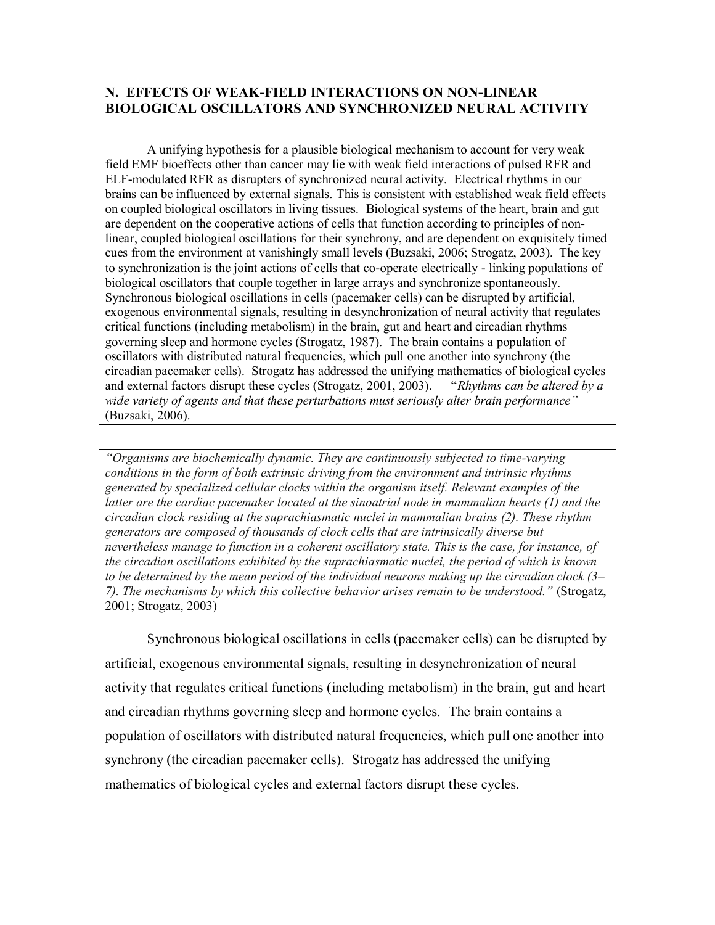#### **N. EFFECTS OF WEAK-FIELD INTERACTIONS ON NON-LINEAR BIOLOGICAL OSCILLATORS AND SYNCHRONIZED NEURAL ACTIVITY**

A unifying hypothesis for a plausible biological mechanism to account for very weak field EMF bioeffects other than cancer may lie with weak field interactions of pulsed RFR and ELF-modulated RFR as disrupters of synchronized neural activity. Electrical rhythms in our brains can be influenced by external signals. This is consistent with established weak field effects on coupled biological oscillators in living tissues. Biological systems of the heart, brain and gut are dependent on the cooperative actions of cells that function according to principles of nonlinear, coupled biological oscillations for their synchrony, and are dependent on exquisitely timed cues from the environment at vanishingly small levels (Buzsaki, 2006; Strogatz, 2003). The key to synchronization is the joint actions of cells that co-operate electrically - linking populations of biological oscillators that couple together in large arrays and synchronize spontaneously. Synchronous biological oscillations in cells (pacemaker cells) can be disrupted by artificial, exogenous environmental signals, resulting in desynchronization of neural activity that regulates critical functions (including metabolism) in the brain, gut and heart and circadian rhythms governing sleep and hormone cycles (Strogatz, 1987). The brain contains a population of oscillators with distributed natural frequencies, which pull one another into synchrony (the circadian pacemaker cells). Strogatz has addressed the unifying mathematics of biological cycles and external factors disrupt these cycles (Strogatz, 2001, 2003). "*Rhythms can be altered by a wide variety of agents and that these perturbations must seriously alter brain performance"* (Buzsaki, 2006).

*"Organisms are biochemically dynamic. They are continuously subjected to time-varying conditions in the form of both extrinsic driving from the environment and intrinsic rhythms generated by specialized cellular clocks within the organism itself. Relevant examples of the latter are the cardiac pacemaker located at the sinoatrial node in mammalian hearts (1) and the circadian clock residing at the suprachiasmatic nuclei in mammalian brains (2). These rhythm generators are composed of thousands of clock cells that are intrinsically diverse but nevertheless manage to function in a coherent oscillatory state. This is the case, for instance, of the circadian oscillations exhibited by the suprachiasmatic nuclei, the period of which is known to be determined by the mean period of the individual neurons making up the circadian clock (3– 7). The mechanisms by which this collective behavior arises remain to be understood."* (Strogatz, 2001; Strogatz, 2003)

Synchronous biological oscillations in cells (pacemaker cells) can be disrupted by artificial, exogenous environmental signals, resulting in desynchronization of neural activity that regulates critical functions (including metabolism) in the brain, gut and heart and circadian rhythms governing sleep and hormone cycles. The brain contains a population of oscillators with distributed natural frequencies, which pull one another into synchrony (the circadian pacemaker cells). Strogatz has addressed the unifying mathematics of biological cycles and external factors disrupt these cycles.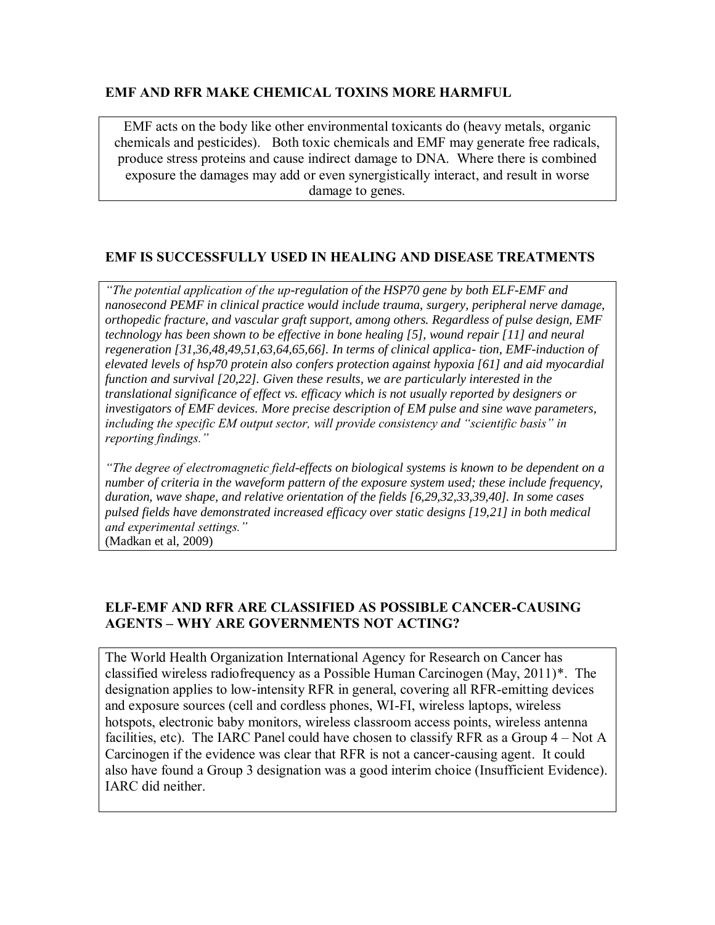### **EMF AND RFR MAKE CHEMICAL TOXINS MORE HARMFUL**

EMF acts on the body like other environmental toxicants do (heavy metals, organic chemicals and pesticides). Both toxic chemicals and EMF may generate free radicals, produce stress proteins and cause indirect damage to DNA. Where there is combined exposure the damages may add or even synergistically interact, and result in worse damage to genes.

# **EMF IS SUCCESSFULLY USED IN HEALING AND DISEASE TREATMENTS**

*"The potential application of the up-regulation of the HSP70 gene by both ELF-EMF and nanosecond PEMF in clinical practice would include trauma, surgery, peripheral nerve damage, orthopedic fracture, and vascular graft support, among others. Regardless of pulse design, EMF technology has been shown to be effective in bone healing [5], wound repair [11] and neural regeneration [31,36,48,49,51,63,64,65,66]. In terms of clinical applica- tion, EMF-induction of elevated levels of hsp70 protein also confers protection against hypoxia [61] and aid myocardial function and survival [20,22]. Given these results, we are particularly interested in the translational significance of effect vs. efficacy which is not usually reported by designers or investigators of EMF devices. More precise description of EM pulse and sine wave parameters, including the specific EM output sector, will provide consistency and "scientific basis" in reporting findings."*

*"The degree of electromagnetic field-effects on biological systems is known to be dependent on a number of criteria in the waveform pattern of the exposure system used; these include frequency, duration, wave shape, and relative orientation of the fields [6,29,32,33,39,40]. In some cases pulsed fields have demonstrated increased efficacy over static designs [19,21] in both medical and experimental settings."*

(Madkan et al, 2009)

# **ELF-EMF AND RFR ARE CLASSIFIED AS POSSIBLE CANCER-CAUSING AGENTS – WHY ARE GOVERNMENTS NOT ACTING?**

The World Health Organization International Agency for Research on Cancer has classified wireless radiofrequency as a Possible Human Carcinogen (May, 2011)\*. The designation applies to low-intensity RFR in general, covering all RFR-emitting devices and exposure sources (cell and cordless phones, WI-FI, wireless laptops, wireless hotspots, electronic baby monitors, wireless classroom access points, wireless antenna facilities, etc). The IARC Panel could have chosen to classify RFR as a Group 4 – Not A Carcinogen if the evidence was clear that RFR is not a cancer-causing agent. It could also have found a Group 3 designation was a good interim choice (Insufficient Evidence). IARC did neither.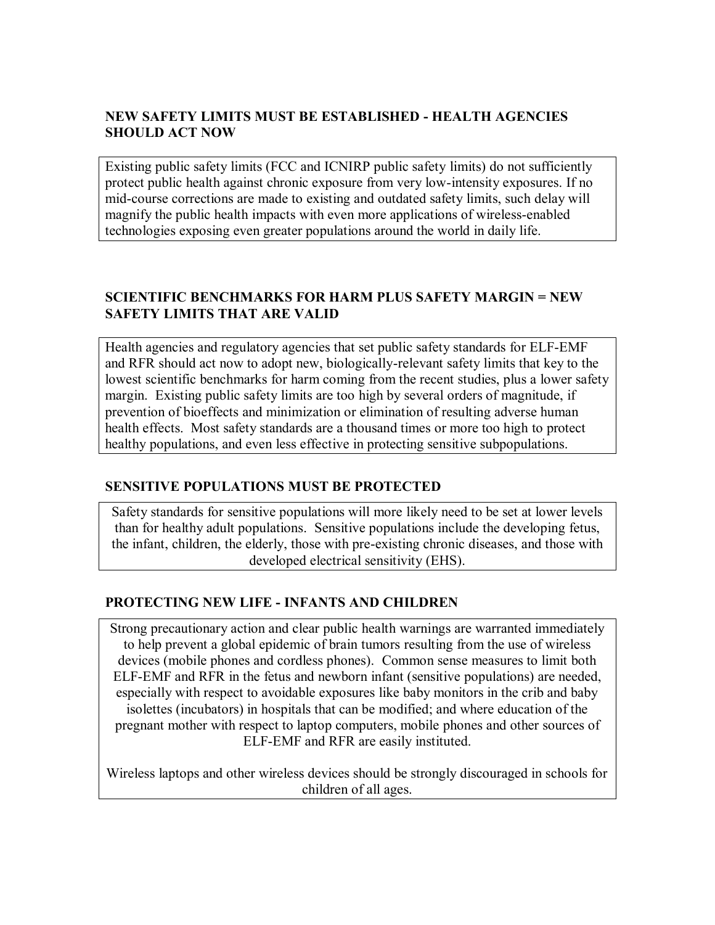# **NEW SAFETY LIMITS MUST BE ESTABLISHED - HEALTH AGENCIES SHOULD ACT NOW**

Existing public safety limits (FCC and ICNIRP public safety limits) do not sufficiently protect public health against chronic exposure from very low-intensity exposures. If no mid-course corrections are made to existing and outdated safety limits, such delay will magnify the public health impacts with even more applications of wireless-enabled technologies exposing even greater populations around the world in daily life.

### **SCIENTIFIC BENCHMARKS FOR HARM PLUS SAFETY MARGIN = NEW SAFETY LIMITS THAT ARE VALID**

Health agencies and regulatory agencies that set public safety standards for ELF-EMF and RFR should act now to adopt new, biologically-relevant safety limits that key to the lowest scientific benchmarks for harm coming from the recent studies, plus a lower safety margin. Existing public safety limits are too high by several orders of magnitude, if prevention of bioeffects and minimization or elimination of resulting adverse human health effects. Most safety standards are a thousand times or more too high to protect healthy populations, and even less effective in protecting sensitive subpopulations.

### **SENSITIVE POPULATIONS MUST BE PROTECTED**

Safety standards for sensitive populations will more likely need to be set at lower levels than for healthy adult populations. Sensitive populations include the developing fetus, the infant, children, the elderly, those with pre-existing chronic diseases, and those with developed electrical sensitivity (EHS).

### **PROTECTING NEW LIFE - INFANTS AND CHILDREN**

Strong precautionary action and clear public health warnings are warranted immediately to help prevent a global epidemic of brain tumors resulting from the use of wireless devices (mobile phones and cordless phones). Common sense measures to limit both ELF-EMF and RFR in the fetus and newborn infant (sensitive populations) are needed, especially with respect to avoidable exposures like baby monitors in the crib and baby isolettes (incubators) in hospitals that can be modified; and where education of the pregnant mother with respect to laptop computers, mobile phones and other sources of ELF-EMF and RFR are easily instituted.

Wireless laptops and other wireless devices should be strongly discouraged in schools for children of all ages.